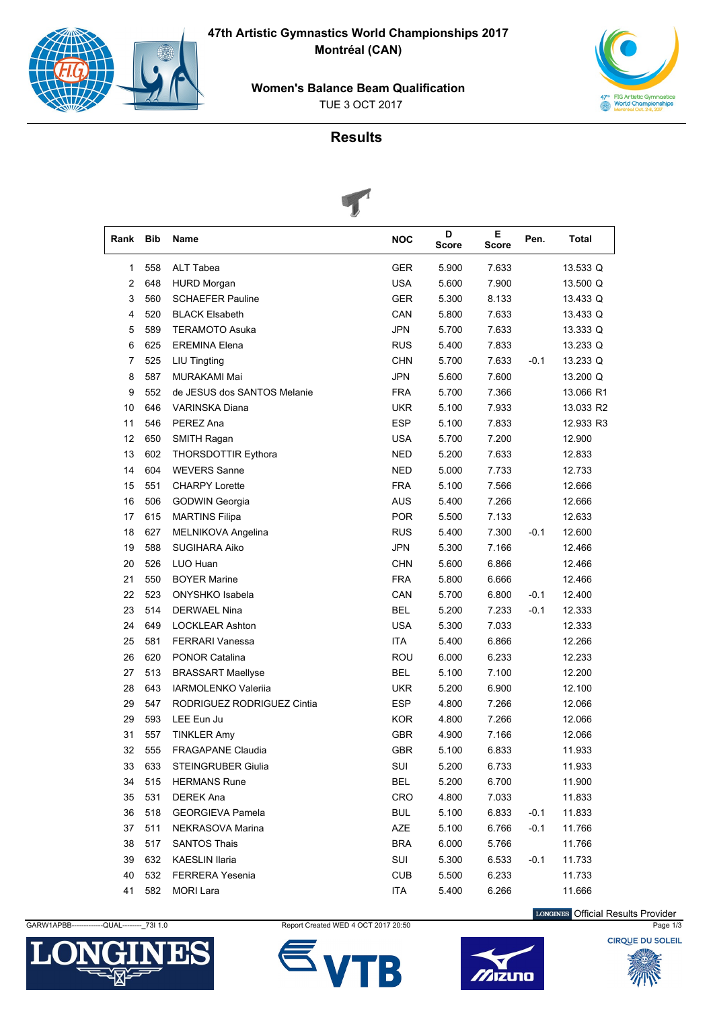**47th Artistic Gymnastics World Championships 2017 Montréal (CAN)** 



**Women's Balance Beam Qualification**





## **Results**



| Rank | <b>Bib</b> | Name                        | <b>NOC</b> | D<br>Score | Е<br><b>Score</b> | Pen.   | Total     |
|------|------------|-----------------------------|------------|------------|-------------------|--------|-----------|
| 1    | 558        | ALT Tabea                   | <b>GER</b> | 5.900      | 7.633             |        | 13.533 Q  |
| 2    | 648        | <b>HURD Morgan</b>          | <b>USA</b> | 5.600      | 7.900             |        | 13.500 Q  |
| 3    | 560        | <b>SCHAEFER Pauline</b>     | <b>GER</b> | 5.300      | 8.133             |        | 13.433 Q  |
| 4    | 520        | <b>BLACK Elsabeth</b>       | CAN        | 5.800      | 7.633             |        | 13.433 Q  |
| 5    | 589        | <b>TERAMOTO Asuka</b>       | <b>JPN</b> | 5.700      | 7.633             |        | 13.333 Q  |
| 6    | 625        | <b>EREMINA Elena</b>        | <b>RUS</b> | 5.400      | 7.833             |        | 13.233 Q  |
| 7    | 525        | LIU Tingting                | <b>CHN</b> | 5.700      | 7.633             | $-0.1$ | 13.233 Q  |
| 8    | 587        | MURAKAMI Mai                | <b>JPN</b> | 5.600      | 7.600             |        | 13.200 Q  |
| 9    | 552        | de JESUS dos SANTOS Melanie | <b>FRA</b> | 5.700      | 7.366             |        | 13.066 R1 |
| 10   | 646        | VARINSKA Diana              | <b>UKR</b> | 5.100      | 7.933             |        | 13.033 R2 |
| 11   | 546        | PEREZ Ana                   | <b>ESP</b> | 5.100      | 7.833             |        | 12.933 R3 |
| 12   | 650        | SMITH Ragan                 | <b>USA</b> | 5.700      | 7.200             |        | 12.900    |
| 13   | 602        | THORSDOTTIR Eythora         | NED        | 5.200      | 7.633             |        | 12.833    |
| 14   | 604        | <b>WEVERS Sanne</b>         | NED        | 5.000      | 7.733             |        | 12.733    |
| 15   | 551        | <b>CHARPY Lorette</b>       | <b>FRA</b> | 5.100      | 7.566             |        | 12.666    |
| 16   | 506        | <b>GODWIN Georgia</b>       | <b>AUS</b> | 5.400      | 7.266             |        | 12.666    |
| 17   | 615        | <b>MARTINS Filipa</b>       | <b>POR</b> | 5.500      | 7.133             |        | 12.633    |
| 18   | 627        | MELNIKOVA Angelina          | <b>RUS</b> | 5.400      | 7.300             | $-0.1$ | 12.600    |
| 19   | 588        | <b>SUGIHARA Aiko</b>        | <b>JPN</b> | 5.300      | 7.166             |        | 12.466    |
| 20   | 526        | LUO Huan                    | <b>CHN</b> | 5.600      | 6.866             |        | 12.466    |
| 21   | 550        | <b>BOYER Marine</b>         | <b>FRA</b> | 5.800      | 6.666             |        | 12.466    |
| 22   | 523        | ONYSHKO Isabela             | CAN        | 5.700      | 6.800             | $-0.1$ | 12.400    |
| 23   | 514        | <b>DERWAEL Nina</b>         | <b>BEL</b> | 5.200      | 7.233             | $-0.1$ | 12.333    |
| 24   | 649        | <b>LOCKLEAR Ashton</b>      | <b>USA</b> | 5.300      | 7.033             |        | 12.333    |
| 25   | 581        | <b>FERRARI Vanessa</b>      | <b>ITA</b> | 5.400      | 6.866             |        | 12.266    |
| 26   | 620        | PONOR Catalina              | ROU        | 6.000      | 6.233             |        | 12.233    |
| 27   | 513        | <b>BRASSART Maellyse</b>    | <b>BEL</b> | 5.100      | 7.100             |        | 12.200    |
| 28   | 643        | <b>IARMOLENKO Valerija</b>  | <b>UKR</b> | 5.200      | 6.900             |        | 12.100    |
| 29   | 547        | RODRIGUEZ RODRIGUEZ Cintia  | <b>ESP</b> | 4.800      | 7.266             |        | 12.066    |
| 29   | 593        | LEE Eun Ju                  | <b>KOR</b> | 4.800      | 7.266             |        | 12.066    |
| 31   | 557        | <b>TINKLER Amy</b>          | GBR        | 4.900      | 7.166             |        | 12.066    |
| 32   | 555        | <b>FRAGAPANE Claudia</b>    | GBR        | 5.100      | 6.833             |        | 11.933    |
| 33   | 633        | <b>STEINGRUBER Giulia</b>   | SUI        | 5.200      | 6.733             |        | 11.933    |
| 34   | 515        | <b>HERMANS Rune</b>         | <b>BEL</b> | 5.200      | 6.700             |        | 11.900    |
| 35   | 531        | <b>DEREK Ana</b>            | <b>CRO</b> | 4.800      | 7.033             |        | 11.833    |
| 36   | 518        | <b>GEORGIEVA Pamela</b>     | <b>BUL</b> | 5.100      | 6.833             | $-0.1$ | 11.833    |
| 37   | 511        | NEKRASOVA Marina            | AZE        | 5.100      | 6.766             | $-0.1$ | 11.766    |
| 38   | 517        | <b>SANTOS Thais</b>         | <b>BRA</b> | 6.000      | 5.766             |        | 11.766    |
| 39   | 632        | KAESLIN Ilaria              | SUI        | 5.300      | 6.533             | $-0.1$ | 11.733    |
| 40   | 532        | FERRERA Yesenia             | <b>CUB</b> | 5.500      | 6.233             |        | 11.733    |
| 41   | 582        | <b>MORI Lara</b>            | ITA        | 5.400      | 6.266             |        | 11.666    |



GARW1APBB------------QUAL---------\_73I 1.0 Report Created WED 4 OCT 2017 20:50 Page 1/3





LONGINES Official Results Provider

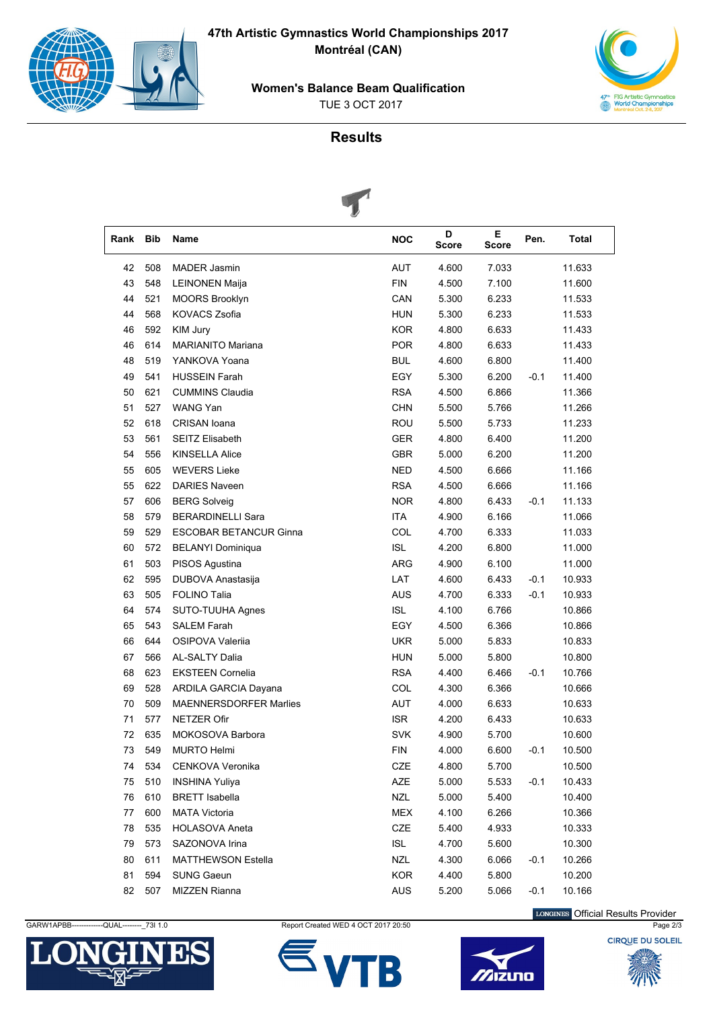**47th Artistic Gymnastics World Championships 2017 Montréal (CAN)** 



**Women's Balance Beam Qualification**

TUE 3 OCT 2017



## **Results**



| Rank | Bib | Name                          | <b>NOC</b> | D<br><b>Score</b> | Е<br><b>Score</b> | Pen.   | Total  |  |
|------|-----|-------------------------------|------------|-------------------|-------------------|--------|--------|--|
| 42   | 508 | <b>MADER Jasmin</b>           | <b>AUT</b> | 4.600             | 7.033             |        | 11.633 |  |
| 43   | 548 | <b>LEINONEN Maija</b>         | <b>FIN</b> | 4.500             | 7.100             |        | 11.600 |  |
| 44   | 521 | <b>MOORS Brooklyn</b>         | CAN        | 5.300             | 6.233             |        | 11.533 |  |
| 44   | 568 | <b>KOVACS Zsofia</b>          | <b>HUN</b> | 5.300             | 6.233             |        | 11.533 |  |
| 46   | 592 | KIM Jury                      | <b>KOR</b> | 4.800             | 6.633             |        | 11.433 |  |
| 46   | 614 | <b>MARIANITO Mariana</b>      | <b>POR</b> | 4.800             | 6.633             |        | 11.433 |  |
| 48   | 519 | YANKOVA Yoana                 | <b>BUL</b> | 4.600             | 6.800             |        | 11.400 |  |
| 49   | 541 | <b>HUSSEIN Farah</b>          | EGY        | 5.300             | 6.200             | $-0.1$ | 11.400 |  |
| 50   | 621 | <b>CUMMINS Claudia</b>        | <b>RSA</b> | 4.500             | 6.866             |        | 11.366 |  |
| 51   | 527 | <b>WANG Yan</b>               | <b>CHN</b> | 5.500             | 5.766             |        | 11.266 |  |
| 52   | 618 | CRISAN Ioana                  | <b>ROU</b> | 5.500             | 5.733             |        | 11.233 |  |
| 53   | 561 | SEITZ Elisabeth               | <b>GER</b> | 4.800             | 6.400             |        | 11.200 |  |
| 54   | 556 | <b>KINSELLA Alice</b>         | <b>GBR</b> | 5.000             | 6.200             |        | 11.200 |  |
| 55   | 605 | <b>WEVERS Lieke</b>           | <b>NED</b> | 4.500             | 6.666             |        | 11.166 |  |
| 55   | 622 | <b>DARIES Naveen</b>          | <b>RSA</b> | 4.500             | 6.666             |        | 11.166 |  |
| 57   | 606 | <b>BERG Solveig</b>           | <b>NOR</b> | 4.800             | 6.433             | $-0.1$ | 11.133 |  |
| 58   | 579 | <b>BERARDINELLI Sara</b>      | <b>ITA</b> | 4.900             | 6.166             |        | 11.066 |  |
| 59   | 529 | <b>ESCOBAR BETANCUR Ginna</b> | COL        | 4.700             | 6.333             |        | 11.033 |  |
| 60   | 572 | <b>BELANYI Dominiqua</b>      | <b>ISL</b> | 4.200             | 6.800             |        | 11.000 |  |
| 61   | 503 | PISOS Agustina                | <b>ARG</b> | 4.900             | 6.100             |        | 11.000 |  |
| 62   | 595 | DUBOVA Anastasija             | LAT        | 4.600             | 6.433             | $-0.1$ | 10.933 |  |
| 63   | 505 | <b>FOLINO Talia</b>           | <b>AUS</b> | 4.700             | 6.333             | $-0.1$ | 10.933 |  |
| 64   | 574 | SUTO-TUUHA Agnes              | <b>ISL</b> | 4.100             | 6.766             |        | 10.866 |  |
| 65   | 543 | <b>SALEM Farah</b>            | EGY        | 4.500             | 6.366             |        | 10.866 |  |
| 66   | 644 | OSIPOVA Valerija              | <b>UKR</b> | 5.000             | 5.833             |        | 10.833 |  |
| 67   | 566 | <b>AL-SALTY Dalia</b>         | <b>HUN</b> | 5.000             | 5.800             |        | 10.800 |  |
| 68   | 623 | <b>EKSTEEN Cornelia</b>       | <b>RSA</b> | 4.400             | 6.466             | $-0.1$ | 10.766 |  |
| 69   | 528 | <b>ARDILA GARCIA Dayana</b>   | COL        | 4.300             | 6.366             |        | 10.666 |  |
| 70   | 509 | <b>MAENNERSDORFER Marlies</b> | AUT        | 4.000             | 6.633             |        | 10.633 |  |
| 71   | 577 | <b>NETZER Ofir</b>            | <b>ISR</b> | 4.200             | 6.433             |        | 10.633 |  |
| 72   | 635 | MOKOSOVA Barbora              | <b>SVK</b> | 4.900             | 5.700             |        | 10.600 |  |
| 73   | 549 | <b>MURTO Helmi</b>            | <b>FIN</b> | 4.000             | 6.600             | $-0.1$ | 10.500 |  |
| 74   | 534 | CENKOVA Veronika              | CZE        | 4.800             | 5.700             |        | 10.500 |  |
| 75   | 510 | <b>INSHINA Yuliya</b>         | AZE        | 5.000             | 5.533             | $-0.1$ | 10.433 |  |
| 76   | 610 | <b>BRETT</b> Isabella         | <b>NZL</b> | 5.000             | 5.400             |        | 10.400 |  |
| 77   | 600 | <b>MATA Victoria</b>          | MEX        | 4.100             | 6.266             |        | 10.366 |  |
| 78   | 535 | <b>HOLASOVA Aneta</b>         | CZE        | 5.400             | 4.933             |        | 10.333 |  |
| 79   | 573 | SAZONOVA Irina                | <b>ISL</b> | 4.700             | 5.600             |        | 10.300 |  |
| 80   | 611 | <b>MATTHEWSON Estella</b>     | <b>NZL</b> | 4.300             | 6.066             | $-0.1$ | 10.266 |  |
| 81   | 594 | <b>SUNG Gaeun</b>             | <b>KOR</b> | 4.400             | 5.800             |        | 10.200 |  |
| 82   | 507 | MIZZEN Rianna                 | AUS        | 5.200             | 5.066             | $-0.1$ | 10.166 |  |

LONGINES Official Results Provider

**CIROUE DU SOLEIL** 



GARW1APBB------------QUAL---------\_73I 1.0 Report Created WED 4 OCT 2017 20:50 Page 2/3